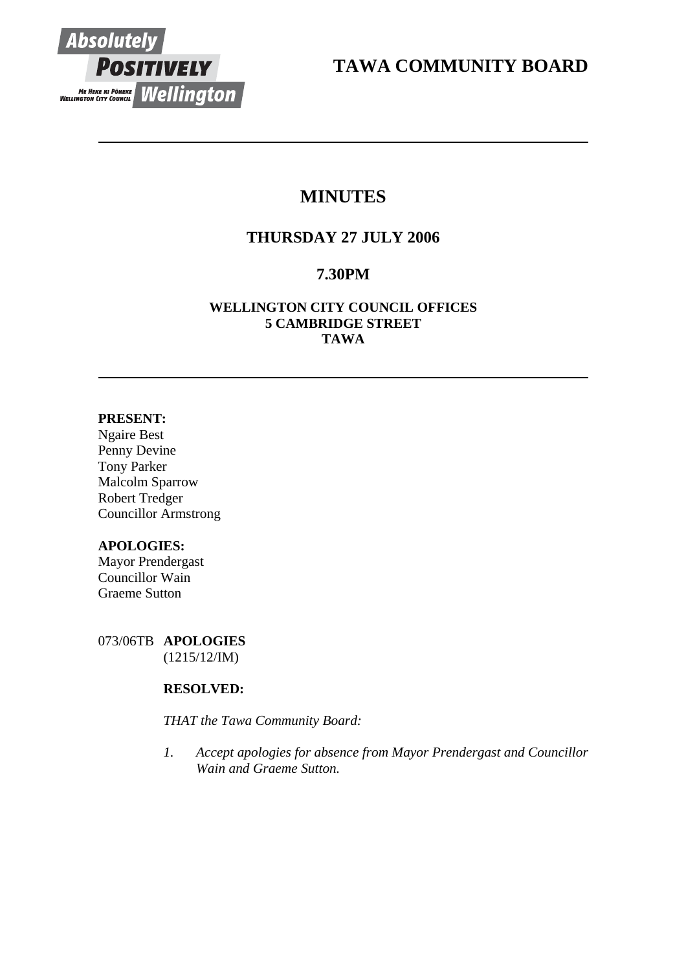

**TAWA COMMUNITY BOARD** 

# **MINUTES**

# **THURSDAY 27 JULY 2006**

# **7.30PM**

## **WELLINGTON CITY COUNCIL OFFICES 5 CAMBRIDGE STREET TAWA**

## **PRESENT:**

Ngaire Best Penny Devine Tony Parker Malcolm Sparrow Robert Tredger Councillor Armstrong

## **APOLOGIES:**

Mayor Prendergast Councillor Wain Graeme Sutton

073/06TB **APOLOGIES** (1215/12/IM)

## **RESOLVED:**

*THAT the Tawa Community Board:* 

*1. Accept apologies for absence from Mayor Prendergast and Councillor Wain and Graeme Sutton.*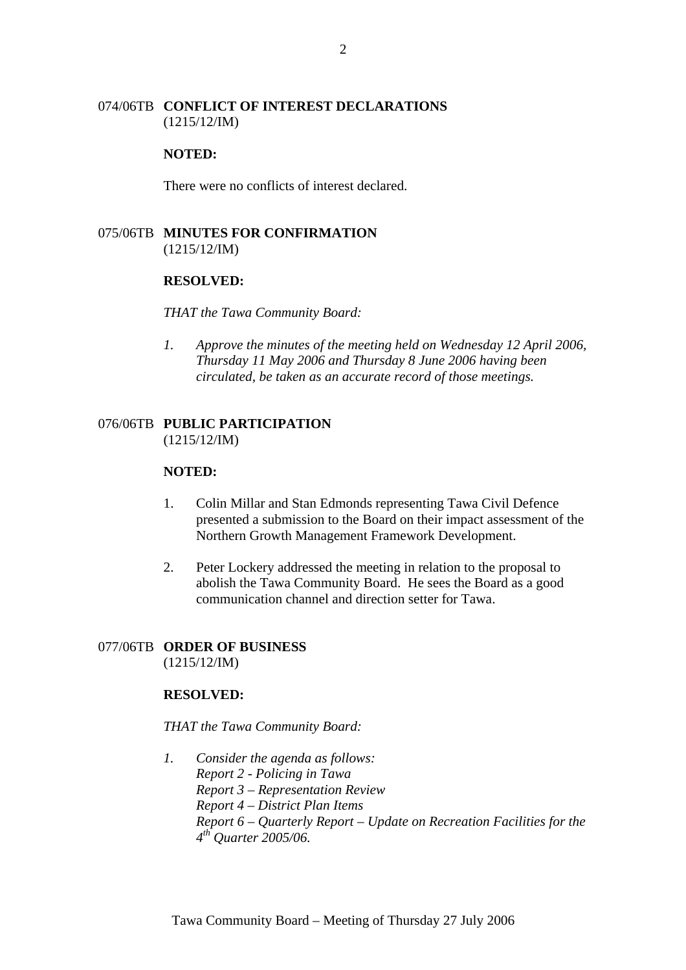#### 074/06TB **CONFLICT OF INTEREST DECLARATIONS** (1215/12/IM)

#### **NOTED:**

There were no conflicts of interest declared.

## 075/06TB **MINUTES FOR CONFIRMATION** (1215/12/IM)

#### **RESOLVED:**

#### *THAT the Tawa Community Board:*

*1. Approve the minutes of the meeting held on Wednesday 12 April 2006, Thursday 11 May 2006 and Thursday 8 June 2006 having been circulated, be taken as an accurate record of those meetings.*

#### 076/06TB **PUBLIC PARTICIPATION** (1215/12/IM)

#### **NOTED:**

- 1. Colin Millar and Stan Edmonds representing Tawa Civil Defence presented a submission to the Board on their impact assessment of the Northern Growth Management Framework Development.
- 2. Peter Lockery addressed the meeting in relation to the proposal to abolish the Tawa Community Board. He sees the Board as a good communication channel and direction setter for Tawa.

#### 077/06TB **ORDER OF BUSINESS** (1215/12/IM)

#### **RESOLVED:**

*THAT the Tawa Community Board:* 

*1. Consider the agenda as follows: Report 2 - Policing in Tawa Report 3 – Representation Review Report 4 – District Plan Items Report 6 – Quarterly Report – Update on Recreation Facilities for the 4th Quarter 2005/06.*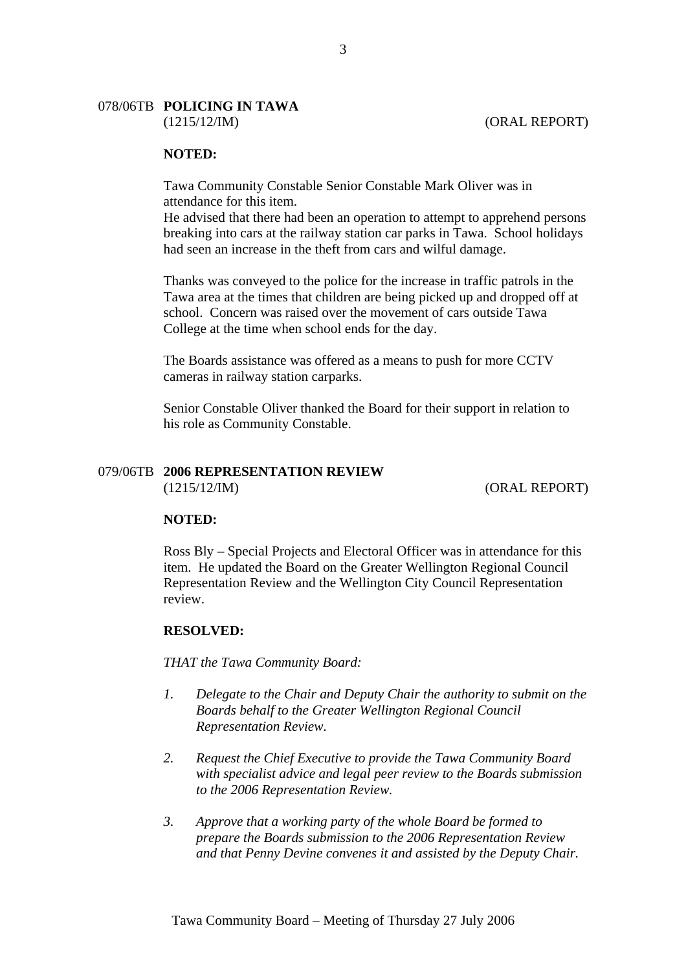# 078/06TB **POLICING IN TAWA**

#### **NOTED:**

Tawa Community Constable Senior Constable Mark Oliver was in attendance for this item.

He advised that there had been an operation to attempt to apprehend persons breaking into cars at the railway station car parks in Tawa. School holidays had seen an increase in the theft from cars and wilful damage.

Thanks was conveyed to the police for the increase in traffic patrols in the Tawa area at the times that children are being picked up and dropped off at school. Concern was raised over the movement of cars outside Tawa College at the time when school ends for the day.

The Boards assistance was offered as a means to push for more CCTV cameras in railway station carparks.

Senior Constable Oliver thanked the Board for their support in relation to his role as Community Constable.

## 079/06TB **2006 REPRESENTATION REVIEW**

(1215/12/IM) (ORAL REPORT)

#### **NOTED:**

Ross Bly – Special Projects and Electoral Officer was in attendance for this item. He updated the Board on the Greater Wellington Regional Council Representation Review and the Wellington City Council Representation review.

#### **RESOLVED:**

*THAT the Tawa Community Board:* 

- *1. Delegate to the Chair and Deputy Chair the authority to submit on the Boards behalf to the Greater Wellington Regional Council Representation Review.*
- *2. Request the Chief Executive to provide the Tawa Community Board with specialist advice and legal peer review to the Boards submission to the 2006 Representation Review.*
- *3. Approve that a working party of the whole Board be formed to prepare the Boards submission to the 2006 Representation Review and that Penny Devine convenes it and assisted by the Deputy Chair.*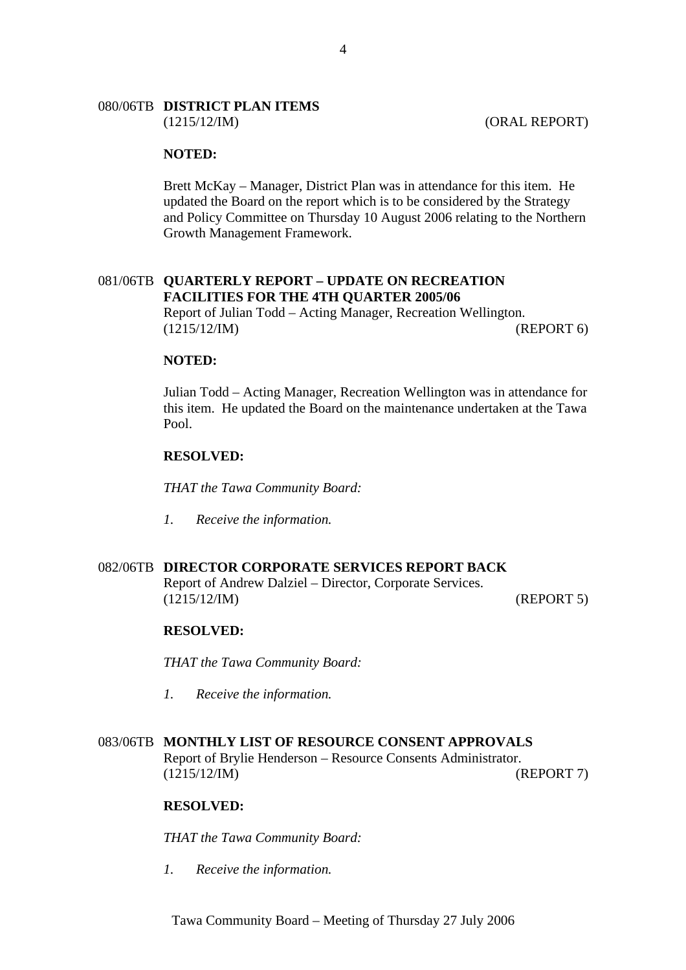## 080/06TB **DISTRICT PLAN ITEMS**

#### **NOTED:**

Brett McKay – Manager, District Plan was in attendance for this item. He updated the Board on the report which is to be considered by the Strategy and Policy Committee on Thursday 10 August 2006 relating to the Northern Growth Management Framework.

#### 081/06TB **QUARTERLY REPORT – UPDATE ON RECREATION FACILITIES FOR THE 4TH QUARTER 2005/06** Report of Julian Todd – Acting Manager, Recreation Wellington.

(1215/12/IM) (REPORT 6)

#### **NOTED:**

Julian Todd – Acting Manager, Recreation Wellington was in attendance for this item. He updated the Board on the maintenance undertaken at the Tawa Pool.

#### **RESOLVED:**

*THAT the Tawa Community Board:* 

*1. Receive the information.*

## 082/06TB **DIRECTOR CORPORATE SERVICES REPORT BACK**

Report of Andrew Dalziel – Director, Corporate Services. (1215/12/IM) (REPORT 5)

#### **RESOLVED:**

*THAT the Tawa Community Board:* 

*1. Receive the information.*

## 083/06TB **MONTHLY LIST OF RESOURCE CONSENT APPROVALS**

Report of Brylie Henderson – Resource Consents Administrator. (1215/12/IM) (REPORT 7)

#### **RESOLVED:**

*THAT the Tawa Community Board:* 

*1. Receive the information.*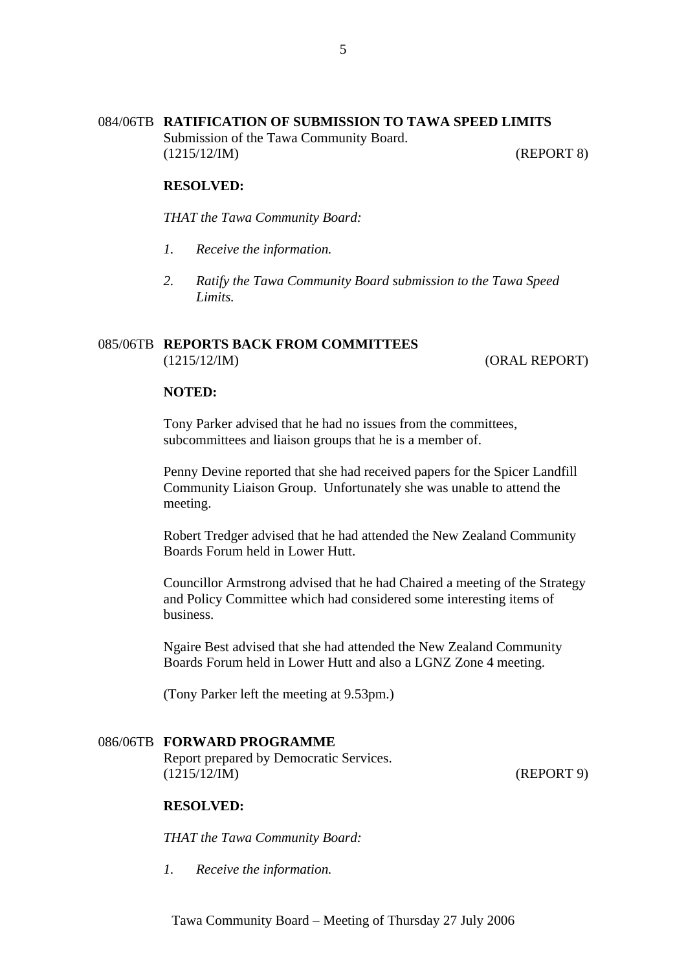## 084/06TB **RATIFICATION OF SUBMISSION TO TAWA SPEED LIMITS**

Submission of the Tawa Community Board. (1215/12/IM) (REPORT 8)

#### **RESOLVED:**

*THAT the Tawa Community Board:* 

- *1. Receive the information.*
- *2. Ratify the Tawa Community Board submission to the Tawa Speed Limits.*

#### 085/06TB **REPORTS BACK FROM COMMITTEES**

(1215/12/IM) (ORAL REPORT)

#### **NOTED:**

Tony Parker advised that he had no issues from the committees, subcommittees and liaison groups that he is a member of.

Penny Devine reported that she had received papers for the Spicer Landfill Community Liaison Group. Unfortunately she was unable to attend the meeting.

Robert Tredger advised that he had attended the New Zealand Community Boards Forum held in Lower Hutt.

Councillor Armstrong advised that he had Chaired a meeting of the Strategy and Policy Committee which had considered some interesting items of business.

Ngaire Best advised that she had attended the New Zealand Community Boards Forum held in Lower Hutt and also a LGNZ Zone 4 meeting.

(Tony Parker left the meeting at 9.53pm.)

## 086/06TB **FORWARD PROGRAMME**

Report prepared by Democratic Services. (1215/12/IM) (REPORT 9)

## **RESOLVED:**

*THAT the Tawa Community Board:* 

*1. Receive the information.*